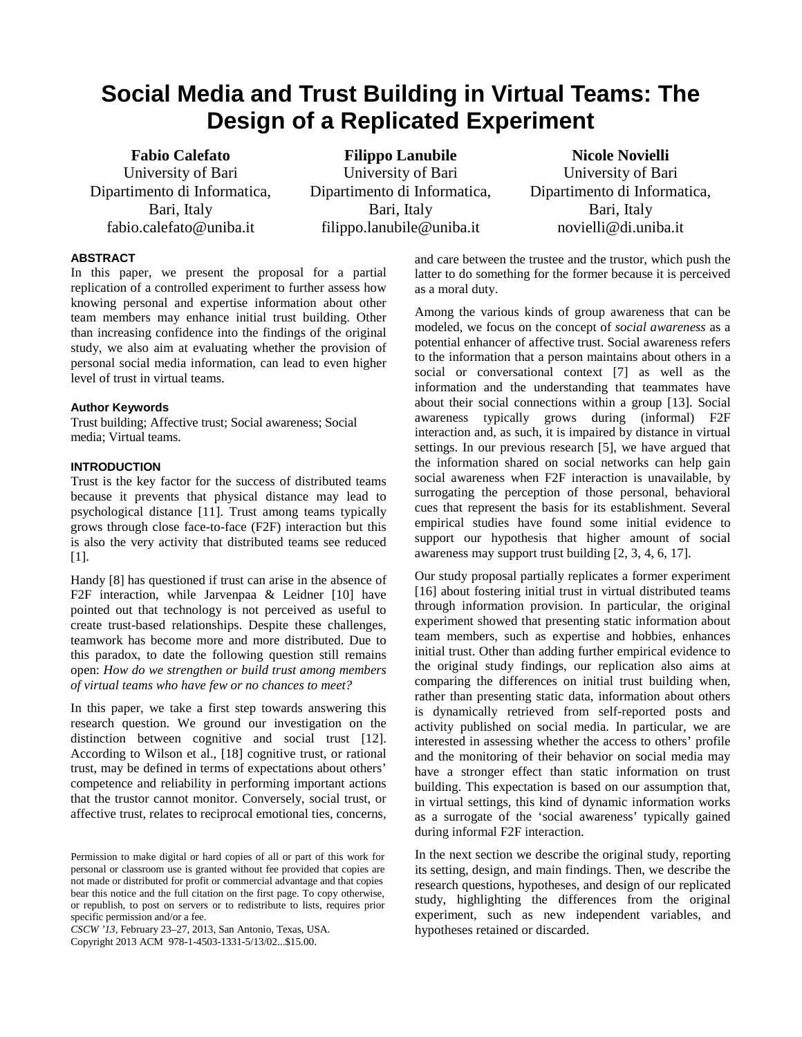# **Social Media and Trust Building in Virtual Teams: The Design of a Replicated Experiment**

**Fabio Calefato** University of Bari Dipartimento di Informatica, Bari, Italy fabio.calefato@uniba.it

**Filippo Lanubile** University of Bari Dipartimento di Informatica, Bari, Italy filippo.lanubile@uniba.it

# **Nicole Novielli**

University of Bari Dipartimento di Informatica, Bari, Italy novielli@di.uniba.it

### **ABSTRACT**

In this paper, we present the proposal for a partial replication of a controlled experiment to further assess how knowing personal and expertise information about other team members may enhance initial trust building. Other than increasing confidence into the findings of the original study, we also aim at evaluating whether the provision of personal social media information, can lead to even higher level of trust in virtual teams.

#### **Author Keywords**

Trust building; Affective trust; Social awareness; Social media; Virtual teams.

### **INTRODUCTION**

Trust is the key factor for the success of distributed teams because it prevents that physical distance may lead to psychological distance [\[11\]](#page-2-0). Trust among teams typically grows through close face-to-face (F2F) interaction but this is also the very activity that distributed teams see reduced [\[1\]](#page-2-1).

Handy [\[8\]](#page-2-2) has questioned if trust can arise in the absence of F2F interaction, while Jarvenpaa & Leidner [\[10\]](#page-2-3) have pointed out that technology is not perceived as useful to create trust-based relationships. Despite these challenges, teamwork has become more and more distributed. Due to this paradox, to date the following question still remains open: *How do we strengthen or build trust among members of virtual teams who have few or no chances to meet?*

In this paper, we take a first step towards answering this research question. We ground our investigation on the distinction between cognitive and social trust [\[12\]](#page-2-4). According to Wilson et al., [\[18\]](#page-2-5) cognitive trust, or rational trust, may be defined in terms of expectations about others' competence and reliability in performing important actions that the trustor cannot monitor. Conversely, social trust, or affective trust, relates to reciprocal emotional ties, concerns,

*CSCW '13,* February 23–27, 2013, San Antonio, Texas, USA. Copyright 2013 ACM 978-1-4503-1331-5/13/02...\$15.00.

and care between the trustee and the trustor, which push the latter to do something for the former because it is perceived as a moral duty.

Among the various kinds of group awareness that can be modeled, we focus on the concept of *social awareness* as a potential enhancer of affective trust. Social awareness refers to the information that a person maintains about others in a social or conversational context [\[7\]](#page-2-6) as well as the information and the understanding that teammates have about their social connections within a group [\[13\]](#page-2-7). Social awareness typically grows during (informal) F2F interaction and, as such, it is impaired by distance in virtual settings. In our previous research [\[5\]](#page-2-8), we have argued that the information shared on social networks can help gain social awareness when F2F interaction is unavailable, by surrogating the perception of those personal, behavioral cues that represent the basis for its establishment. Several empirical studies have found some initial evidence to support our hypothesis that higher amount of social awareness may support trust building [\[2,](#page-2-9) [3,](#page-2-10) [4,](#page-2-11) [6,](#page-2-12) [17\]](#page-2-13).

Our study proposal partially replicates a former experiment [\[16\]](#page-2-14) about fostering initial trust in virtual distributed teams through information provision. In particular, the original experiment showed that presenting static information about team members, such as expertise and hobbies, enhances initial trust. Other than adding further empirical evidence to the original study findings, our replication also aims at comparing the differences on initial trust building when, rather than presenting static data, information about others is dynamically retrieved from self-reported posts and activity published on social media. In particular, we are interested in assessing whether the access to others' profile and the monitoring of their behavior on social media may have a stronger effect than static information on trust building. This expectation is based on our assumption that, in virtual settings, this kind of dynamic information works as a surrogate of the 'social awareness' typically gained during informal F2F interaction.

In the next section we describe the original study, reporting its setting, design, and main findings. Then, we describe the research questions, hypotheses, and design of our replicated study, highlighting the differences from the original experiment, such as new independent variables, and hypotheses retained or discarded.

Permission to make digital or hard copies of all or part of this work for personal or classroom use is granted without fee provided that copies are not made or distributed for profit or commercial advantage and that copies bear this notice and the full citation on the first page. To copy otherwise, or republish, to post on servers or to redistribute to lists, requires prior specific permission and/or a fee.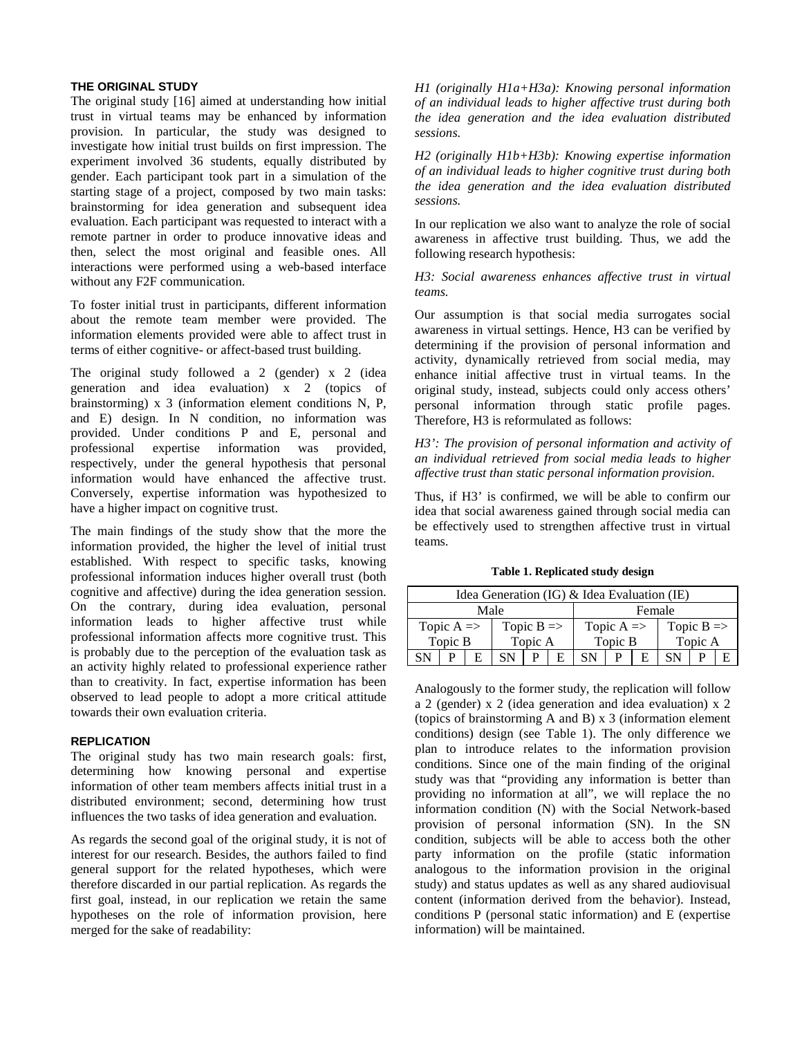### **THE ORIGINAL STUDY**

The original study [\[16\]](#page-2-14) aimed at understanding how initial trust in virtual teams may be enhanced by information provision. In particular, the study was designed to investigate how initial trust builds on first impression. The experiment involved 36 students, equally distributed by gender. Each participant took part in a simulation of the starting stage of a project, composed by two main tasks: brainstorming for idea generation and subsequent idea evaluation. Each participant was requested to interact with a remote partner in order to produce innovative ideas and then, select the most original and feasible ones. All interactions were performed using a web-based interface without any F2F communication.

To foster initial trust in participants, different information about the remote team member were provided. The information elements provided were able to affect trust in terms of either cognitive- or affect-based trust building.

The original study followed a 2 (gender) x 2 (idea generation and idea evaluation) x 2 (topics of brainstorming) x 3 (information element conditions N, P, and E) design. In N condition, no information was provided. Under conditions P and E, personal and professional expertise information was provided, respectively, under the general hypothesis that personal information would have enhanced the affective trust. Conversely, expertise information was hypothesized to have a higher impact on cognitive trust.

The main findings of the study show that the more the information provided, the higher the level of initial trust established. With respect to specific tasks, knowing professional information induces higher overall trust (both cognitive and affective) during the idea generation session. On the contrary, during idea evaluation, personal information leads to higher affective trust while professional information affects more cognitive trust. This is probably due to the perception of the evaluation task as an activity highly related to professional experience rather than to creativity. In fact, expertise information has been observed to lead people to adopt a more critical attitude towards their own evaluation criteria.

#### **REPLICATION**

The original study has two main research goals: first, determining how knowing personal and expertise information of other team members affects initial trust in a distributed environment; second, determining how trust influences the two tasks of idea generation and evaluation.

As regards the second goal of the original study, it is not of interest for our research. Besides, the authors failed to find general support for the related hypotheses, which were therefore discarded in our partial replication. As regards the first goal, instead, in our replication we retain the same hypotheses on the role of information provision, here merged for the sake of readability:

*H1 (originally H1a+H3a): Knowing personal information of an individual leads to higher affective trust during both the idea generation and the idea evaluation distributed sessions.*

*H2 (originally H1b+H3b): Knowing expertise information of an individual leads to higher cognitive trust during both the idea generation and the idea evaluation distributed sessions.*

In our replication we also want to analyze the role of social awareness in affective trust building. Thus, we add the following research hypothesis:

### *H3: Social awareness enhances affective trust in virtual teams.*

Our assumption is that social media surrogates social awareness in virtual settings. Hence, H3 can be verified by determining if the provision of personal information and activity, dynamically retrieved from social media, may enhance initial affective trust in virtual teams. In the original study, instead, subjects could only access others' personal information through static profile pages. Therefore, H3 is reformulated as follows:

# *H3': The provision of personal information and activity of an individual retrieved from social media leads to higher affective trust than static personal information provision.*

Thus, if H3' is confirmed, we will be able to confirm our idea that social awareness gained through social media can be effectively used to strengthen affective trust in virtual teams.

| Idea Generation (IG) $\&$ Idea Evaluation (IE) |  |   |                       |  |  |                       |   |   |                       |  |  |
|------------------------------------------------|--|---|-----------------------|--|--|-----------------------|---|---|-----------------------|--|--|
| Male                                           |  |   |                       |  |  | Female                |   |   |                       |  |  |
| Topic $A \Rightarrow$                          |  |   | Topic $B \Rightarrow$ |  |  | Topic $A \Rightarrow$ |   |   | Topic $B \Rightarrow$ |  |  |
| Topic B                                        |  |   | Topic A               |  |  | Topic B               |   |   | Topic A               |  |  |
| <b>SN</b>                                      |  | Е | SN                    |  |  | SN.                   | P | E | SΝ                    |  |  |

**Table 1. Replicated study design**

Analogously to the former study, the replication will follow a 2 (gender) x 2 (idea generation and idea evaluation) x 2 (topics of brainstorming A and B) x 3 (information element conditions) design (see Table 1). The only difference we plan to introduce relates to the information provision conditions. Since one of the main finding of the original study was that "providing any information is better than providing no information at all", we will replace the no information condition (N) with the Social Network-based provision of personal information (SN). In the SN condition, subjects will be able to access both the other party information on the profile (static information analogous to the information provision in the original study) and status updates as well as any shared audiovisual content (information derived from the behavior). Instead, conditions P (personal static information) and E (expertise information) will be maintained.